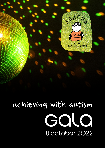

# achieving with autism COLO 8 october 2022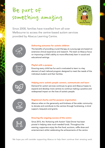# Be part of something amazing



Since 2008, families have travelled from all-over Melbourne to access the centre-based autism services provided by Abacus Learning Centre.



# Delivering outcomes for autistic children

The benefits of providing crucial therapy at a young age are based on extensive clinical experience and research. The team at Abacus focus on improving a child's ability to more effectively learn in social and educational settings.



#### Playful with a purpose

Ensuring every child has fun and is motivated to learn is a key element of each tailored program designed to meet the needs of the individual student and their families.



### Helping more autistic people connect, communicate and learn

Demand for autism services continues to grow and Abacus hopes to expand and develop more centres to continue making a positive and widespread impact on the lives of autistic people.



# Registered charity and for-purpose organisation

Abacus relies on the generosity and kindness of the wider community to donate and contribute to the centres through fundraising, in-kind support, bequests and grants.



#### Ensuring the ongoing success of the centre

Since 2013, the 'Achieving with Autism' Gala Dinner has been pivotal in helping raise much-needed funds. Throughout the evening, supporters enjoy the fine food, auctions, raffle draw and entertainment whilst celebrating the achievements of the centre.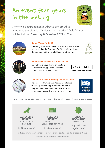# An event four years in the making



After two postponements, Abacus are proud to announce the biennial 'Achieving with Autism' Gala Dinner will be held on Saturday 8 October 2022 at 7pm.



Following the sold-out event in 2018, this year's event will be held at the Southern Golf Club, Corner Lower Dandenong and Springvale Road, Keysborough.





# Melbourne's premier live 5-piece band

Easy Street always deliver an exciting and mesmerising performance with a mix of classic and latest hits.





# Live Auction, Ballot Bidding and Raffle Draw

Helping Hand Group and Abacus are pleased to offer guests an opportunity to bid/win a range of unique holidays, money-can't-buy experiences, artwork, memorabilia and more.



Invite family, friends, staff and clients to join in the fun while supporting an amazing cause.



includes a two-course meal, four-hour drinks package and a great night-out.

\*please note: booking and payment processing fees apply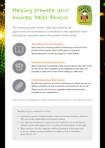# Helping promote your business helps Abacus



The 'Achieving with Autism' Gala also presents an opportunity for businesses to contribute to this signature event and play an important role in the growth of the centre.



# Advertising in the Event Program

Help raise your company profile by advertising in the full-colour printed event program which will be given to all guests. *See booking form on the next page for further details.*



# Donations of Goods and/or Services

Abacus welcomes contributions that may be used to help raise funds for the centre. Items supplied can be displayed on the night and included in either the auction, ballot bidding or raffle draw.



# Consider becoming a Major Sponsor

By offering to sponsor this event and become an official partner you will be included on all event materials and activities for the dinner. *Please contact the centre to negotiate a tailored sponsorship package for your organisation.*

Abacus would be delighted to create long-lasting partnerships at this important event.

Benefits of your contribution include:

- Exposure to guests including families of past and present students, staff and VIPs such as key stakeholders and business leaders.
- Your logo can be featured in electronic event publicity such as the Abacus website, social media pages and in a scrolling AV presentation on the night.
- Major sponsors can also negotiate additional presence at the event such as banner displays, product/collateral on tables, article in newsletter, presentations, etc.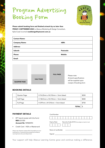# Program Advertising Booking Form



Please submit booking form and finished artwork by no later than FRIDAY 2 SEPTEMBER 2022 to Abacus Marketing & Design Consultant, Kylie Coad via email coaddesign@optusnet.com.au

| <b>Contact Name:</b> |                |
|----------------------|----------------|
| <b>Company Name:</b> | ABN:           |
| <b>Address:</b>      |                |
| Suburb:              | Postcode:      |
| <b>Phone:</b>        | <b>Mobile:</b> |
| Email:               |                |

| <b>HALF PAGE</b><br><b>QUARTER PAGE</b> | <b>FULL PAGE</b> | Please note:<br>Artwork specifications<br>will be supplied upon<br>receipt of booking form |
|-----------------------------------------|------------------|--------------------------------------------------------------------------------------------|
|-----------------------------------------|------------------|--------------------------------------------------------------------------------------------|

# BOOKING DETAILS

| Quarter Page | H 74.25mm x W 210mm + 5mm bleed      | \$250 |
|--------------|--------------------------------------|-------|
| Half Page    | H 148.5mm x W 210mm + 5mm bleed      | \$500 |
| Full Page    | H 297mm $\times$ W 210mm + 5mm bleed | \$750 |
|              | <b>TOTAL</b>                         |       |

Card Number

### PAYMENT DETAILS

• EFT (send receipt with this form) **BSB** 633 000 Account No 149880593

• Credit Card - VISA or Mastercard

|                    | Security Code (CVV) three digits on back of card<br><b>Expiry Date</b> |  |  |  |  |  |  |  |  |  |  |  |  |
|--------------------|------------------------------------------------------------------------|--|--|--|--|--|--|--|--|--|--|--|--|
|                    |                                                                        |  |  |  |  |  |  |  |  |  |  |  |  |
|                    |                                                                        |  |  |  |  |  |  |  |  |  |  |  |  |
| Name of cardholder |                                                                        |  |  |  |  |  |  |  |  |  |  |  |  |
| Signed             |                                                                        |  |  |  |  |  |  |  |  |  |  |  |  |

Please note: Payment receipt will be forwarded once your booking form is received and processed by the Abacus Learning Centre Accounts Department.

Your support will help Abacus Learning Centre grow and continue making a difference.